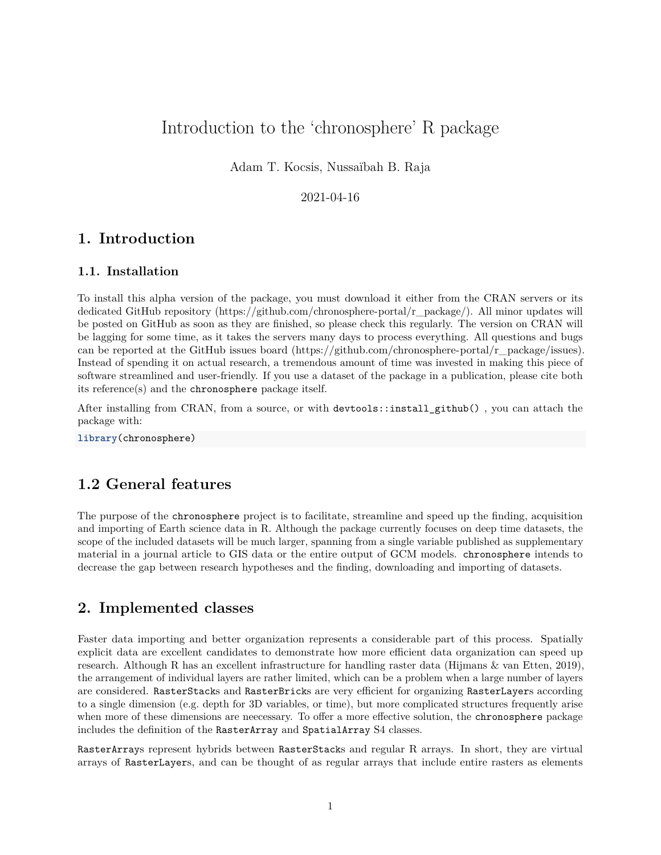# Introduction to the 'chronosphere' R package

Adam T. Kocsis, Nussaïbah B. Raja

## 2021-04-16

# **1. Introduction**

#### **1.1. Installation**

To install this alpha version of the package, you must download it either from the CRAN servers or its dedicated GitHub repository [\(https://github.com/chronosphere-portal/r\\_package/\)](https://github.com/chronosphere-portal/r_package/). All minor updates will be posted on GitHub as soon as they are finished, so please check this regularly. The version on CRAN will be lagging for some time, as it takes the servers many days to process everything. All questions and bugs can be reported at the GitHub issues board [\(https://github.com/chronosphere-portal/r\\_package/issues\)](https://github.com/chronosphere-portal/r_package/issues). Instead of spending it on actual research, a tremendous amount of time was invested in making this piece of software streamlined and user-friendly. If you use a dataset of the package in a publication, please cite both its reference(s) and the chronosphere package itself.

After installing from CRAN, from a source, or with devtools::install\_github() , you can attach the package with:

**library**(chronosphere)

# **1.2 General features**

The purpose of the chronosphere project is to facilitate, streamline and speed up the finding, acquisition and importing of Earth science data in R. Although the package currently focuses on deep time datasets, the scope of the included datasets will be much larger, spanning from a single variable published as supplementary material in a journal article to GIS data or the entire output of GCM models. chronosphere intends to decrease the gap between research hypotheses and the finding, downloading and importing of datasets.

# **2. Implemented classes**

Faster data importing and better organization represents a considerable part of this process. Spatially explicit data are excellent candidates to demonstrate how more efficient data organization can speed up research. Although R has an excellent infrastructure for handling raster data (Hijmans & van Etten, 2019), the arrangement of individual layers are rather limited, which can be a problem when a large number of layers are considered. RasterStacks and RasterBricks are very efficient for organizing RasterLayers according to a single dimension (e.g. depth for 3D variables, or time), but more complicated structures frequently arise when more of these dimensions are neecessary. To offer a more effective solution, the chronosphere package includes the definition of the RasterArray and SpatialArray S4 classes.

RasterArrays represent hybrids between RasterStacks and regular R arrays. In short, they are virtual arrays of RasterLayers, and can be thought of as regular arrays that include entire rasters as elements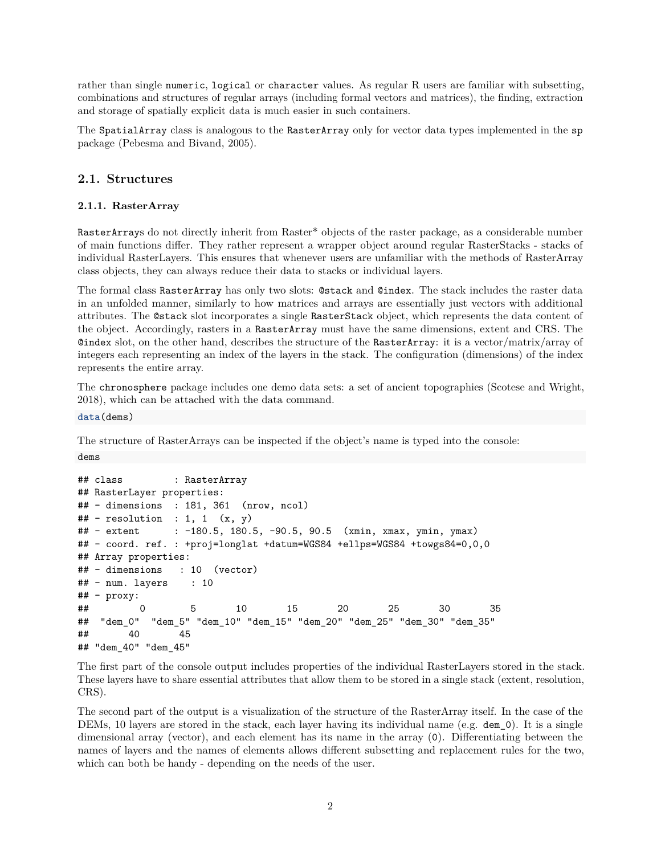rather than single numeric, logical or character values. As regular R users are familiar with subsetting, combinations and structures of regular arrays (including formal vectors and matrices), the finding, extraction and storage of spatially explicit data is much easier in such containers.

The SpatialArray class is analogous to the RasterArray only for vector data types implemented in the sp package (Pebesma and Bivand, 2005).

## **2.1. Structures**

#### **2.1.1. RasterArray**

RasterArrays do not directly inherit from Raster\* objects of the raster package, as a considerable number of main functions differ. They rather represent a wrapper object around regular RasterStacks - stacks of individual RasterLayers. This ensures that whenever users are unfamiliar with the methods of RasterArray class objects, they can always reduce their data to stacks or individual layers.

The formal class RasterArray has only two slots: @stack and @index. The stack includes the raster data in an unfolded manner, similarly to how matrices and arrays are essentially just vectors with additional attributes. The @stack slot incorporates a single RasterStack object, which represents the data content of the object. Accordingly, rasters in a RasterArray must have the same dimensions, extent and CRS. The @index slot, on the other hand, describes the structure of the RasterArray: it is a vector/matrix/array of integers each representing an index of the layers in the stack. The configuration (dimensions) of the index represents the entire array.

The chronosphere package includes one demo data sets: a set of ancient topographies (Scotese and Wright, 2018), which can be attached with the data command.

**data**(dems)

dems

The structure of RasterArrays can be inspected if the object's name is typed into the console:

```
## class : RasterArray
## RasterLayer properties:
## - dimensions : 181, 361 (nrow, ncol)
\# - resolution : 1, 1 (x, y)## - extent : -180.5, 180.5, -90.5, 90.5 (xmin, xmax, ymin, ymax)
## - coord. ref. : +proj=longlat +datum=WGS84 +ellps=WGS84 +towgs84=0,0,0
## Array properties:
## - dimensions : 10 (vector)
## - num. layers : 10
## - proxy:
## 0 5 10 15 20 25 30 35
## "dem_0" "dem_5" "dem_10" "dem_15" "dem_20" "dem_25" "dem_30" "dem_35"
## 40 45
## "dem_40" "dem_45"
```
The first part of the console output includes properties of the individual RasterLayers stored in the stack. These layers have to share essential attributes that allow them to be stored in a single stack (extent, resolution, CRS).

The second part of the output is a visualization of the structure of the RasterArray itself. In the case of the DEMs, 10 layers are stored in the stack, each layer having its individual name (e.g. dem\_0). It is a single dimensional array (vector), and each element has its name in the array (0). Differentiating between the names of layers and the names of elements allows different subsetting and replacement rules for the two, which can both be handy - depending on the needs of the user.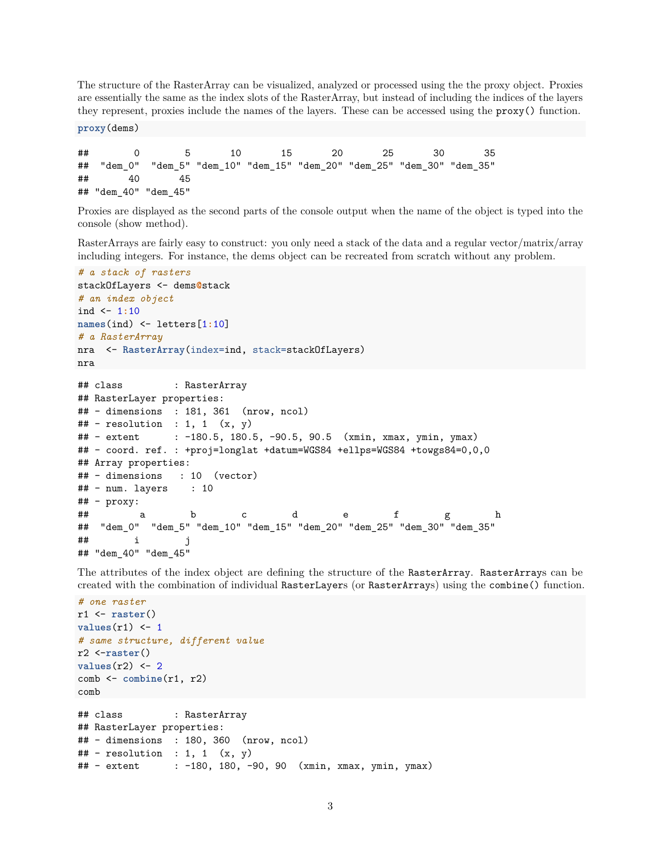The structure of the RasterArray can be visualized, analyzed or processed using the the proxy object. Proxies are essentially the same as the index slots of the RasterArray, but instead of including the indices of the layers they represent, proxies include the names of the layers. These can be accessed using the proxy() function.

**proxy**(dems)

## 0 5 10 15 20 25 30 35 ## "dem\_0" "dem\_5" "dem\_10" "dem\_15" "dem\_20" "dem\_25" "dem\_30" "dem\_35" ## 40 45 ## "dem\_40" "dem\_45"

Proxies are displayed as the second parts of the console output when the name of the object is typed into the console (show method).

RasterArrays are fairly easy to construct: you only need a stack of the data and a regular vector/matrix/array including integers. For instance, the dems object can be recreated from scratch without any problem.

```
# a stack of rasters
stackOfLayers <- dems@stack
# an index object
ind <- 1:10
names(ind) <- letters[1:10]
# a RasterArray
nra <- RasterArray(index=ind, stack=stackOfLayers)
nra
## class : RasterArray
## RasterLayer properties:
## - dimensions : 181, 361 (nrow, ncol)
\# + resolution : 1, 1 (x, y)## - extent : -180.5, 180.5, -90.5, 90.5 (xmin, xmax, ymin, ymax)
## - coord. ref. : +proj=longlat +datum=WGS84 +ellps=WGS84 +towgs84=0,0,0
## Array properties:
## - dimensions : 10 (vector)
\# + num. layers : 10
## - proxy:
## a b c d e f g h
## "dem_0" "dem_5" "dem_10" "dem_15" "dem_20" "dem_25" "dem_30" "dem_35"
## i j
## "dem_40" "dem_45"
```
The attributes of the index object are defining the structure of the RasterArray. RasterArrays can be created with the combination of individual RasterLayers (or RasterArrays) using the combine() function.

```
# one raster
r1 <- raster()
values(r1) <- 1
# same structure, different value
r2 <-raster()
values(r2) <- 2
comb <- combine(r1, r2)
comb
## class : RasterArray
## RasterLayer properties:
## - dimensions : 180, 360 (nrow, ncol)
\# - resolution : 1, 1 (x, y)## - extent : -180, 180, -90, 90 (xmin, xmax, ymin, ymax)
```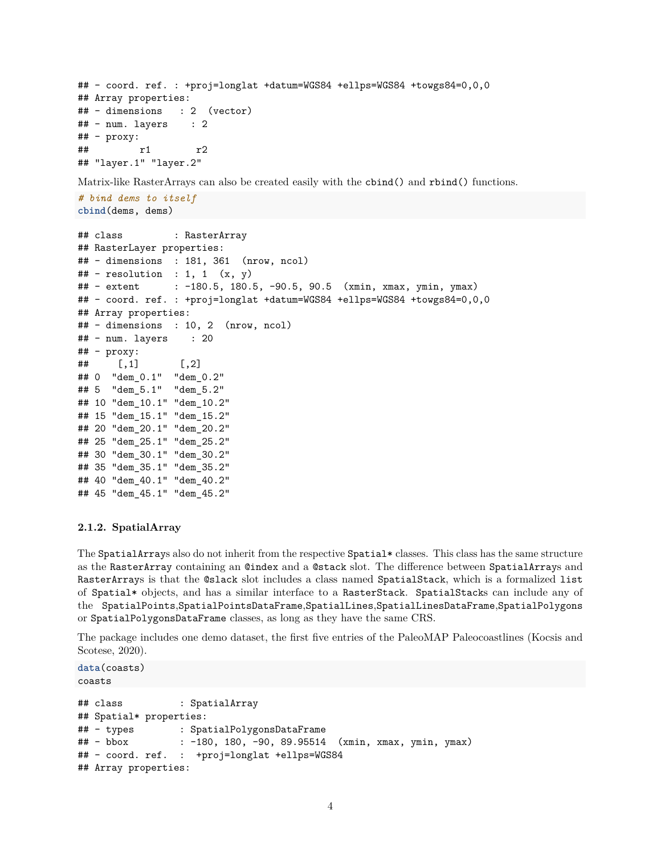```
## - coord. ref. : +proj=longlat +datum=WGS84 +ellps=WGS84 +towgs84=0,0,0
## Array properties:
## - dimensions : 2 (vector)
## - num. layers : 2
## - proxy:
## r1 r2
## "layer.1" "layer.2"
```
Matrix-like RasterArrays can also be created easily with the cbind() and rbind() functions.

```
# bind dems to itself
cbind(dems, dems)
```

```
## class : RasterArray
## RasterLayer properties:
## - dimensions : 181, 361 (nrow, ncol)
\# - resolution : 1, 1 (x, y)## - extent : -180.5, 180.5, -90.5, 90.5 (xmin, xmax, ymin, ymax)
## - coord. ref. : +proj=longlat +datum=WGS84 +ellps=WGS84 +towgs84=0,0,0
## Array properties:
## - dimensions : 10, 2 (nrow, ncol)
## - num. layers : 20
## - proxy:
\# [,1] [,2]
## 0 "dem_0.1" "dem_0.2"
## 5 "dem_5.1" "dem_5.2"
## 10 "dem_10.1" "dem_10.2"
## 15 "dem_15.1" "dem_15.2"
## 20 "dem_20.1" "dem_20.2"
## 25 "dem_25.1" "dem_25.2"
## 30 "dem_30.1" "dem_30.2"
## 35 "dem_35.1" "dem_35.2"
## 40 "dem_40.1" "dem_40.2"
## 45 "dem_45.1" "dem_45.2"
```
#### **2.1.2. SpatialArray**

The SpatialArrays also do not inherit from the respective Spatial\* classes. This class has the same structure as the RasterArray containing an @index and a @stack slot. The difference between SpatialArrays and RasterArrays is that the @slack slot includes a class named SpatialStack, which is a formalized list of Spatial\* objects, and has a similar interface to a RasterStack. SpatialStacks can include any of the SpatialPoints,SpatialPointsDataFrame,SpatialLines,SpatialLinesDataFrame,SpatialPolygons or SpatialPolygonsDataFrame classes, as long as they have the same CRS.

The package includes one demo dataset, the first five entries of the PaleoMAP Paleocoastlines (Kocsis and Scotese, 2020).

```
data(coasts)
coasts
## class : SpatialArray
## Spatial* properties:
## - types : SpatialPolygonsDataFrame
## - bbox : -180, 180, -90, 89.95514 (xmin, xmax, ymin, ymax)
## - coord. ref. : +proj=longlat +ellps=WGS84
## Array properties:
```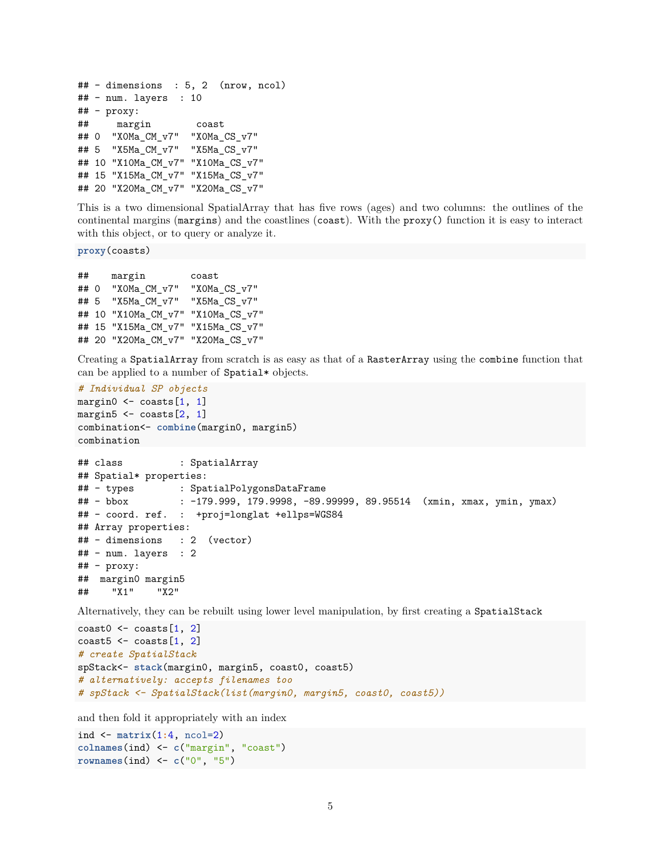```
## - dimensions : 5, 2 (nrow, ncol)
## - num. layers : 10
## - proxy:
## margin coast
## 0 "X0Ma_CM_v7" "X0Ma_CS_v7"
## 5 "X5Ma_CM_v7" "X5Ma_CS_v7"
## 10 "X10Ma_CM_v7" "X10Ma_CS_v7"
## 15 "X15Ma_CM_v7" "X15Ma_CS_v7"
## 20 "X20Ma_CM_v7" "X20Ma_CS_v7"
```
This is a two dimensional SpatialArray that has five rows (ages) and two columns: the outlines of the continental margins (margins) and the coastlines (coast). With the proxy() function it is easy to interact with this object, or to query or analyze it.

**proxy**(coasts)

```
## margin coast
## 0 "X0Ma_CM_v7" "X0Ma_CS_v7"
## 5 "X5Ma_CM_v7" "X5Ma_CS_v7"
## 10 "X10Ma_CM_v7" "X10Ma_CS_v7"
## 15 "X15Ma_CM_v7" "X15Ma_CS_v7"
## 20 "X20Ma_CM_v7" "X20Ma_CS_v7"
```
Creating a SpatialArray from scratch is as easy as that of a RasterArray using the combine function that can be applied to a number of Spatial\* objects.

```
# Individual SP objects
margin0 \leq - \text{coasts}[1, 1]margin5 \leq coasts [2, 1]combination<- combine(margin0, margin5)
combination
```

```
## class : SpatialArray
## Spatial* properties:
## - types : SpatialPolygonsDataFrame
## - bbox : -179.999, 179.9998, -89.99999, 89.95514 (xmin, xmax, ymin, ymax)
## - coord. ref. : +proj=longlat +ellps=WGS84
## Array properties:
## - dimensions : 2 (vector)
## - num. layers : 2
## - proxy:
## margin0 margin5
## "X1" "X2"
```
Alternatively, they can be rebuilt using lower level manipulation, by first creating a SpatialStack

```
\text{const0} <- \text{coasts}[1, 2]\text{const5} <- \text{coasts}[1, 2]# create SpatialStack
spStack<- stack(margin0, margin5, coast0, coast5)
# alternatively: accepts filenames too
# spStack <- SpatialStack(list(margin0, margin5, coast0, coast5))
```
and then fold it appropriately with an index

```
ind <- matrix(1:4, ncol=2)
colnames(ind) <- c("margin", "coast")
rownames(ind) <- c("0", "5")
```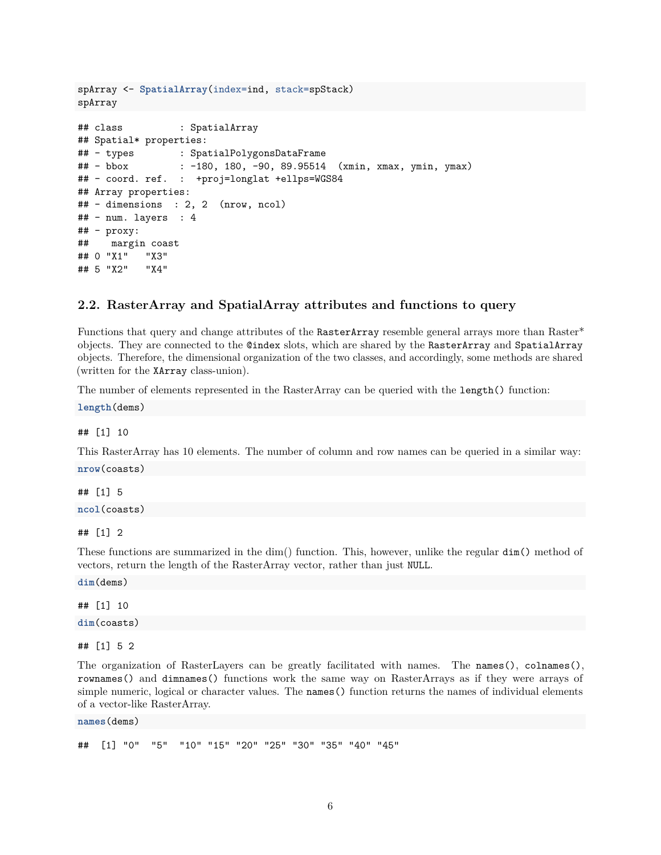```
spArray <- SpatialArray(index=ind, stack=spStack)
spArray
## class : SpatialArray
## Spatial* properties:
## - types : SpatialPolygonsDataFrame
## - bbox : -180, 180, -90, 89.95514 (xmin, xmax, ymin, ymax)
## - coord. ref. : +proj=longlat +ellps=WGS84
## Array properties:
## - dimensions : 2, 2 (nrow, ncol)
\# + num. layers : 4
## - proxy:
## margin coast
## 0 "X1" "X3"
## 5 "X2" "X4"
```
#### **2.2. RasterArray and SpatialArray attributes and functions to query**

Functions that query and change attributes of the RasterArray resemble general arrays more than Raster\* objects. They are connected to the @index slots, which are shared by the RasterArray and SpatialArray objects. Therefore, the dimensional organization of the two classes, and accordingly, some methods are shared (written for the XArray class-union).

The number of elements represented in the RasterArray can be queried with the length() function:

**length**(dems)

## [1] 10

This RasterArray has 10 elements. The number of column and row names can be queried in a similar way: **nrow**(coasts)

## [1] 5

**ncol**(coasts)

## [1] 2

These functions are summarized in the dim() function. This, however, unlike the regular dim() method of vectors, return the length of the RasterArray vector, rather than just NULL.

**dim**(dems)

## [1] 10 **dim**(coasts)

## [1] 5 2

The organization of RasterLayers can be greatly facilitated with names. The names(), colnames(), rownames() and dimnames() functions work the same way on RasterArrays as if they were arrays of simple numeric, logical or character values. The names() function returns the names of individual elements of a vector-like RasterArray.

**names**(dems)

## [1] "0" "5" "10" "15" "20" "25" "30" "35" "40" "45"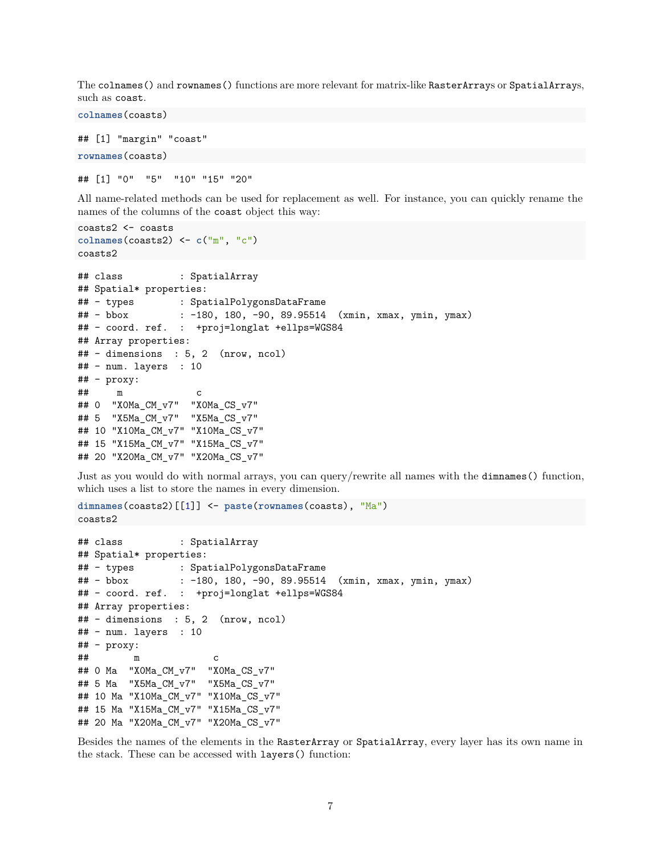The colnames() and rownames() functions are more relevant for matrix-like RasterArrays or SpatialArrays, such as coast.

## [1] "margin" "coast" **rownames**(coasts)

**colnames**(coasts)

## [1] "0" "5" "10" "15" "20"

All name-related methods can be used for replacement as well. For instance, you can quickly rename the names of the columns of the coast object this way:

```
coasts2 <- coasts
colnames(coasts2) <- c("m", "c")
coasts2
## class : SpatialArray
## Spatial* properties:
## - types : SpatialPolygonsDataFrame
## - bbox : -180, 180, -90, 89.95514 (xmin, xmax, ymin, ymax)
## - coord. ref. : +proj=longlat +ellps=WGS84
## Array properties:
## - dimensions : 5, 2 (nrow, ncol)
## - num. layers : 10
## - proxy:
## m c
## 0 "X0Ma_CM_v7" "X0Ma_CS_v7"
## 5 "X5Ma_CM_v7" "X5Ma_CS_v7"
## 10 "X10Ma_CM_v7" "X10Ma_CS_v7"
## 15 "X15Ma_CM_v7" "X15Ma_CS_v7"
## 20 "X20Ma_CM_v7" "X20Ma_CS_v7"
```
Just as you would do with normal arrays, you can query/rewrite all names with the dimnames() function, which uses a list to store the names in every dimension.

```
dimnames(coasts2)[[1]] <- paste(rownames(coasts), "Ma")
coasts2
```

```
## class : SpatialArray
## Spatial* properties:
## - types : SpatialPolygonsDataFrame
## - bbox : -180, 180, -90, 89.95514 (xmin, xmax, ymin, ymax)
## - coord. ref. : +proj=longlat +ellps=WGS84
## Array properties:
## - dimensions : 5, 2 (nrow, ncol)
## - num. layers : 10
## - proxy:
## m c
## 0 Ma "X0Ma_CM_v7" "X0Ma_CS_v7"
## 5 Ma "X5Ma_CM_v7" "X5Ma_CS_v7"
## 10 Ma "X10Ma_CM_v7" "X10Ma_CS_v7"
## 15 Ma "X15Ma_CM_v7" "X15Ma_CS_v7"
## 20 Ma "X20Ma_CM_v7" "X20Ma_CS_v7"
```
Besides the names of the elements in the RasterArray or SpatialArray, every layer has its own name in the stack. These can be accessed with layers() function: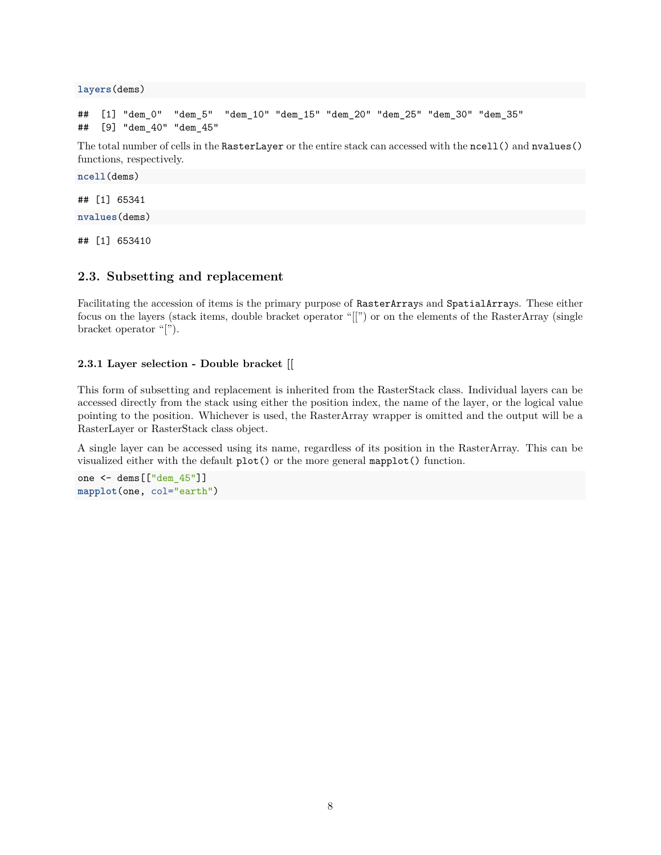**layers**(dems)

```
## [1] "dem_0" "dem_5" "dem_10" "dem_15" "dem_20" "dem_25" "dem_30" "dem_35"
## [9] "dem_40" "dem_45"
```
The total number of cells in the RasterLayer or the entire stack can accessed with the ncell() and nvalues() functions, respectively.

**ncell**(dems)

## [1] 65341

**nvalues**(dems)

## [1] 653410

#### **2.3. Subsetting and replacement**

Facilitating the accession of items is the primary purpose of RasterArrays and SpatialArrays. These either focus on the layers (stack items, double bracket operator "[[") or on the elements of the RasterArray (single bracket operator "[").

#### **2.3.1 Layer selection - Double bracket [[**

This form of subsetting and replacement is inherited from the RasterStack class. Individual layers can be accessed directly from the stack using either the position index, the name of the layer, or the logical value pointing to the position. Whichever is used, the RasterArray wrapper is omitted and the output will be a RasterLayer or RasterStack class object.

A single layer can be accessed using its name, regardless of its position in the RasterArray. This can be visualized either with the default plot() or the more general mapplot() function.

one <- dems[["dem\_45"]] **mapplot**(one, col="earth")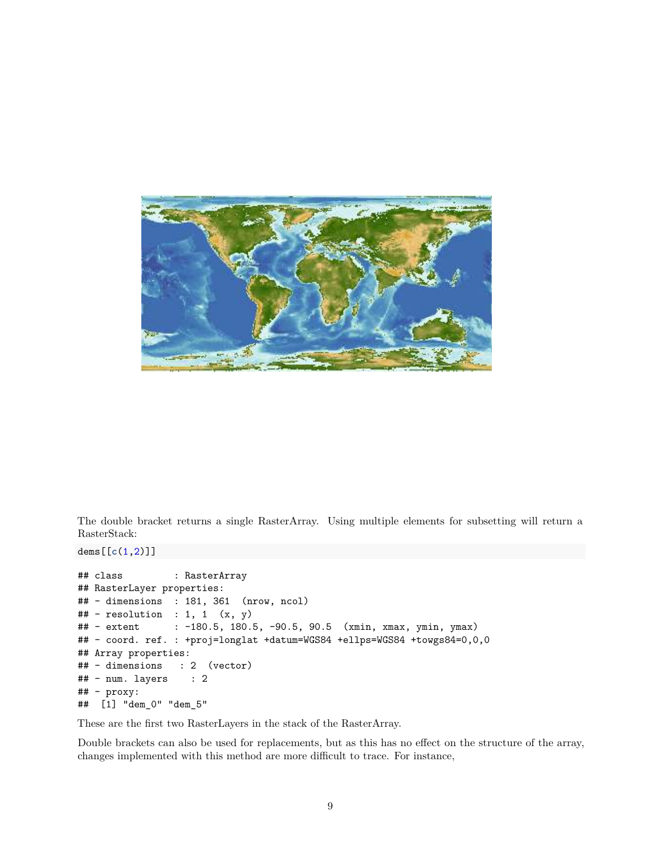

The double bracket returns a single RasterArray. Using multiple elements for subsetting will return a RasterStack:

dems[[**c**(1,2)]]

```
## class : RasterArray
## RasterLayer properties:
## - dimensions : 181, 361 (nrow, ncol)
\# - resolution : 1, 1 (x, y)## - extent : -180.5, 180.5, -90.5, 90.5 (xmin, xmax, ymin, ymax)
## - coord. ref. : +proj=longlat +datum=WGS84 +ellps=WGS84 +towgs84=0,0,0
## Array properties:
## - dimensions : 2 (vector)
\# + num. layers : 2
## - proxy:
## [1] "dem_0" "dem_5"
```
These are the first two RasterLayers in the stack of the RasterArray.

Double brackets can also be used for replacements, but as this has no effect on the structure of the array, changes implemented with this method are more difficult to trace. For instance,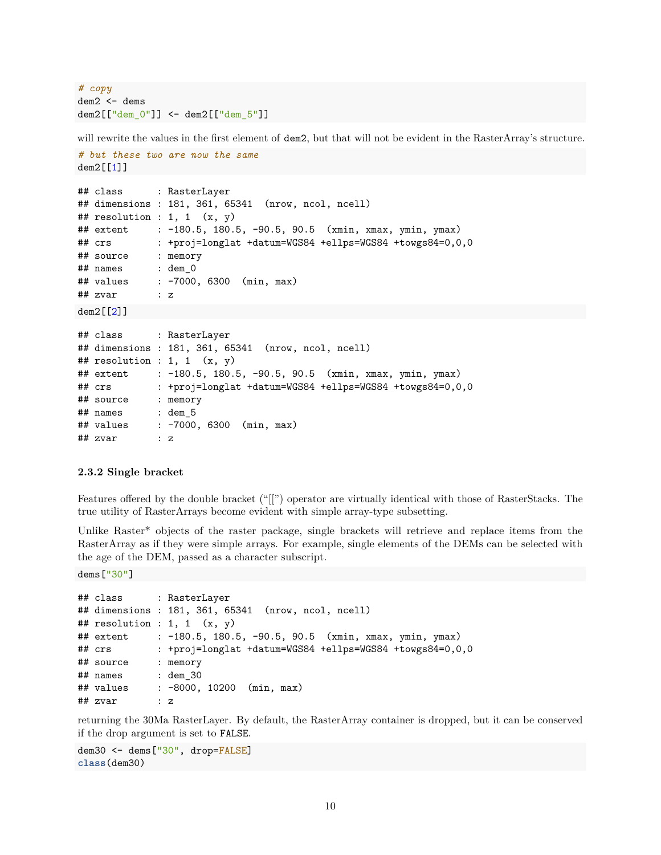```
# copy
dem2 <- dems
dem2[["dem_0"]] <- dem2[["dem_5"]]
```
will rewrite the values in the first element of **dem2**, but that will not be evident in the RasterArray's structure.

```
# but these two are now the same
dem2[[1]]
## class : RasterLayer
## dimensions : 181, 361, 65341 (nrow, ncol, ncell)
## resolution : 1, 1 (x, y)## extent : -180.5, 180.5, -90.5, 90.5 (xmin, xmax, ymin, ymax)
## crs : +proj=longlat +datum=WGS84 +ellps=WGS84 +towgs84=0,0,0
## source : memory
## names : dem_0
## values : -7000, 6300 (min, max)
## zvar : z
```
 $dem2[[2]$ ]

```
## class : RasterLayer
## dimensions : 181, 361, 65341 (nrow, ncol, ncell)
## resolution : 1, 1 (x, y)## extent : -180.5, 180.5, -90.5, 90.5 (xmin, xmax, ymin, ymax)
## crs : +proj=longlat +datum=WGS84 +ellps=WGS84 +towgs84=0,0,0
## source : memory
## names : dem_5
## values : -7000, 6300 (min, max)
## zvar : z
```
#### **2.3.2 Single bracket**

Features offered by the double bracket ("[[") operator are virtually identical with those of RasterStacks. The true utility of RasterArrays become evident with simple array-type subsetting.

Unlike Raster\* objects of the raster package, single brackets will retrieve and replace items from the RasterArray as if they were simple arrays. For example, single elements of the DEMs can be selected with the age of the DEM, passed as a character subscript.

dems["30"]

```
## class : RasterLayer
## dimensions : 181, 361, 65341 (nrow, ncol, ncell)
## resolution : 1, 1 (x, y)## extent : -180.5, 180.5, -90.5, 90.5 (xmin, xmax, ymin, ymax)
## crs : +proj=longlat +datum=WGS84 +ellps=WGS84 +towgs84=0,0,0
## source : memory
## names : dem_30
## values : -8000, 10200 (min, max)
## zvar : z
```
returning the 30Ma RasterLayer. By default, the RasterArray container is dropped, but it can be conserved if the drop argument is set to FALSE.

dem30 <- dems["30", drop=FALSE] **class**(dem30)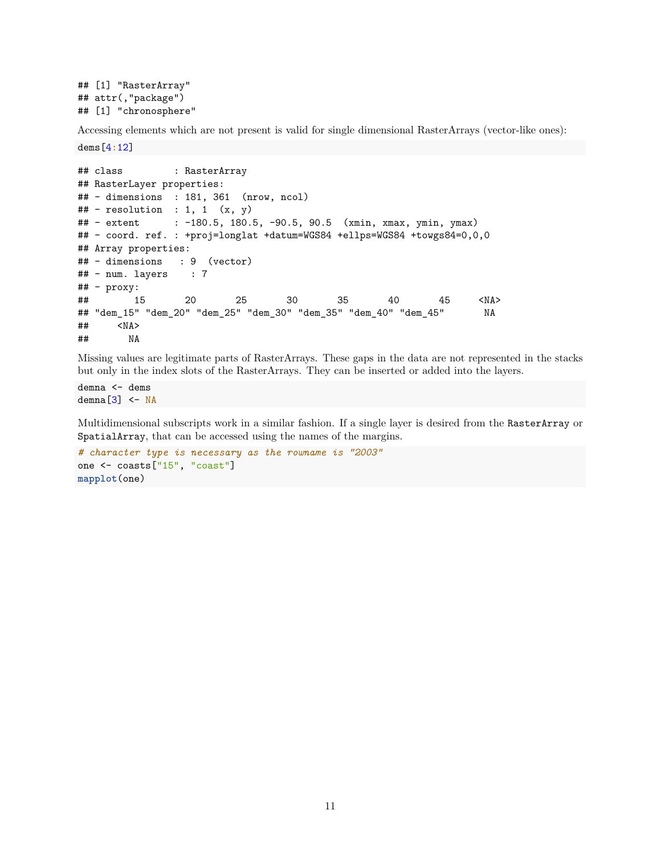```
## [1] "RasterArray"
## attr(,"package")
## [1] "chronosphere"
```
Accessing elements which are not present is valid for single dimensional RasterArrays (vector-like ones):

dems[4**:**12]

```
## class : RasterArray
## RasterLayer properties:
## - dimensions : 181, 361 (nrow, ncol)
\# + resolution : 1, 1 (x, y)## - extent : -180.5, 180.5, -90.5, 90.5 (xmin, xmax, ymin, ymax)
## - coord. ref. : +proj=longlat +datum=WGS84 +ellps=WGS84 +towgs84=0,0,0
## Array properties:
## - dimensions : 9 (vector)
## - num. layers : 7
## - proxy:
## 15 20 25 30 35 40 45 <NA>
## "dem_15" "dem_20" "dem_25" "dem_30" "dem_35" "dem_40" "dem_45" NA
## <NA>
## NA
```
Missing values are legitimate parts of RasterArrays. These gaps in the data are not represented in the stacks but only in the index slots of the RasterArrays. They can be inserted or added into the layers.

demna <- dems demna $[3]$  <- NA

Multidimensional subscripts work in a similar fashion. If a single layer is desired from the RasterArray or SpatialArray, that can be accessed using the names of the margins.

```
# character type is necessary as the rowname is "2003"
one <- coasts["15", "coast"]
mapplot(one)
```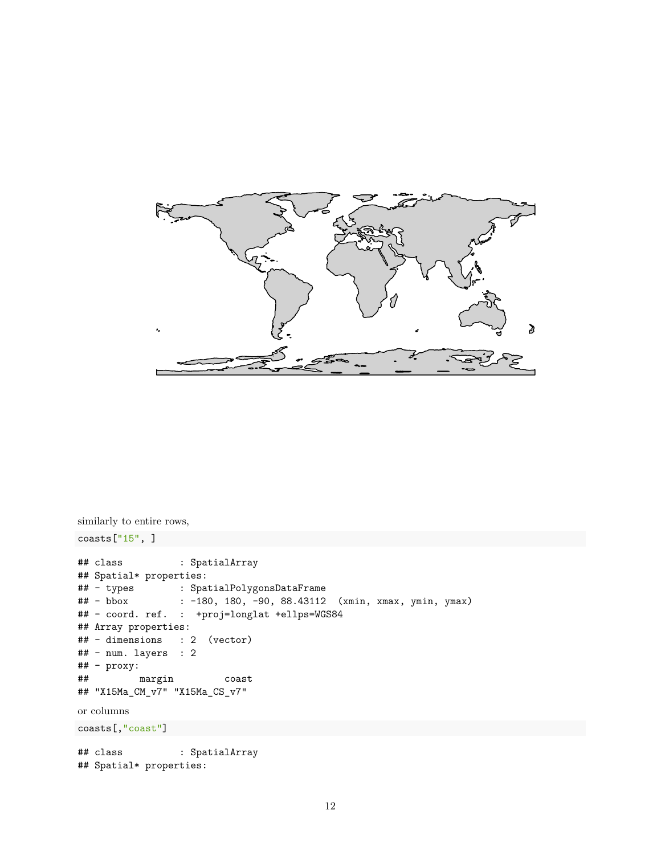

```
similarly to entire rows,
coasts['15", ]## class : SpatialArray
## Spatial* properties:
## - types : SpatialPolygonsDataFrame
## - bbox : -180, 180, -90, 88.43112 (xmin, xmax, ymin, ymax)
## - coord. ref. : +proj=longlat +ellps=WGS84
## Array properties:
## - dimensions : 2 (vector)
## - num. layers : 2
## - proxy:
## margin coast
## "X15Ma_CM_v7" "X15Ma_CS_v7"
or columns
coasts[,"coast"]
## class : SpatialArray
## Spatial* properties:
```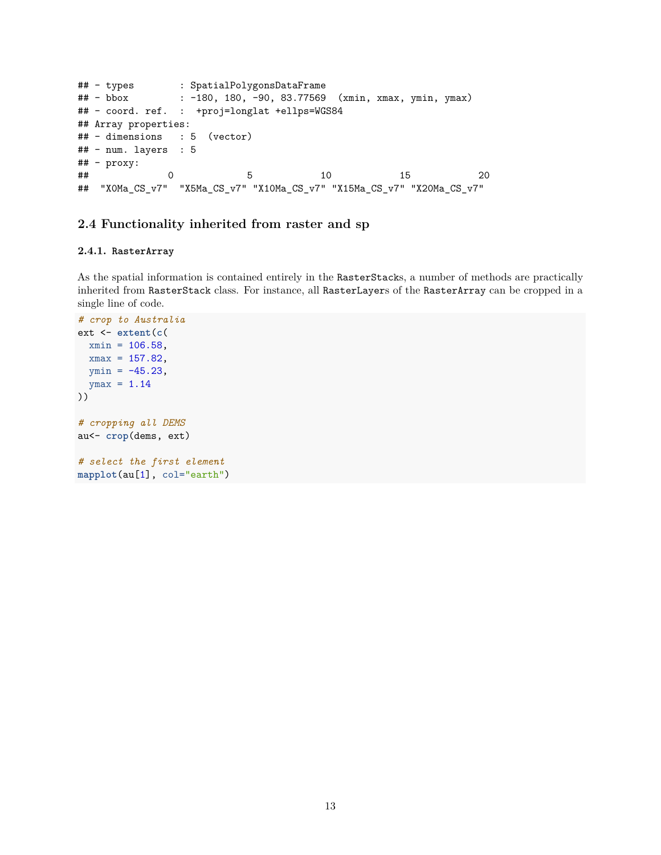```
\begin{array}{ccc}\n\text{***} & -\text{types} \\
\text{***} & -\text{bbox} \\
\text{***} & -\text{180} \\
\text{***} & \text{...} \\
\end{array}: -180, 180, -90, 83.77569 (xmin, xmax, ymin, ymax)
## - coord. ref. : +proj=longlat +ellps=WGS84
## Array properties:
## - dimensions : 5 (vector)
## - num. layers : 5
## - proxy:
## 0 5 10 15 20
## "X0Ma_CS_v7" "X5Ma_CS_v7" "X10Ma_CS_v7" "X15Ma_CS_v7" "X20Ma_CS_v7"
```
## **2.4 Functionality inherited from raster and sp**

#### **2.4.1. RasterArray**

As the spatial information is contained entirely in the RasterStacks, a number of methods are practically inherited from RasterStack class. For instance, all RasterLayers of the RasterArray can be cropped in a single line of code.

```
# crop to Australia
ext <- extent(c(
 xmin = 106.58,
 xmax = 157.82,
 ymin = -45.23,
 ymax = 1.14))
# cropping all DEMS
au<- crop(dems, ext)
# select the first element
mapplot(au[1], col="earth")
```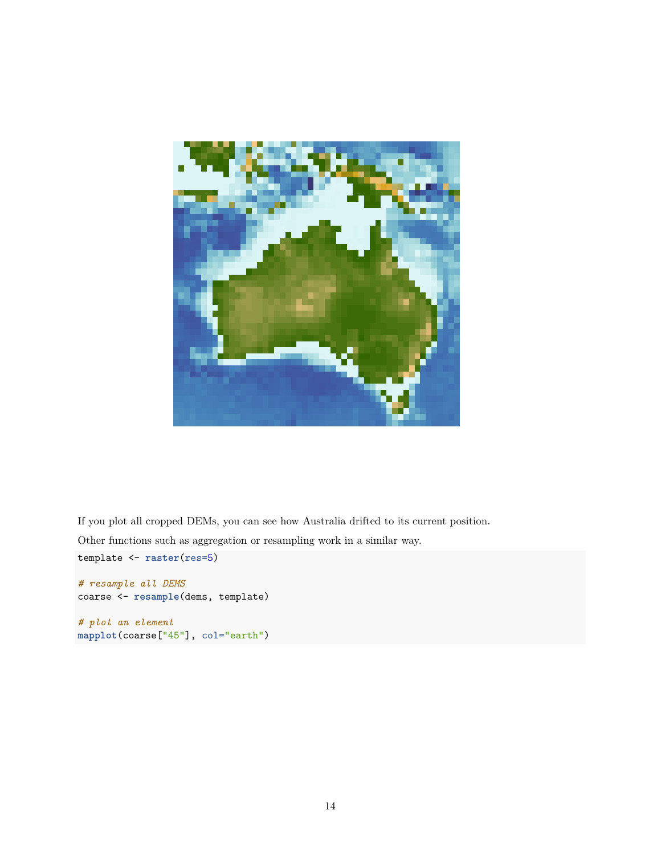

If you plot all cropped DEMs, you can see how Australia drifted to its current position.

Other functions such as aggregation or resampling work in a similar way.

```
template <- raster(res=5)
```

```
# resample all DEMS
coarse <- resample(dems, template)
# plot an element
mapplot(coarse["45"], col="earth")
```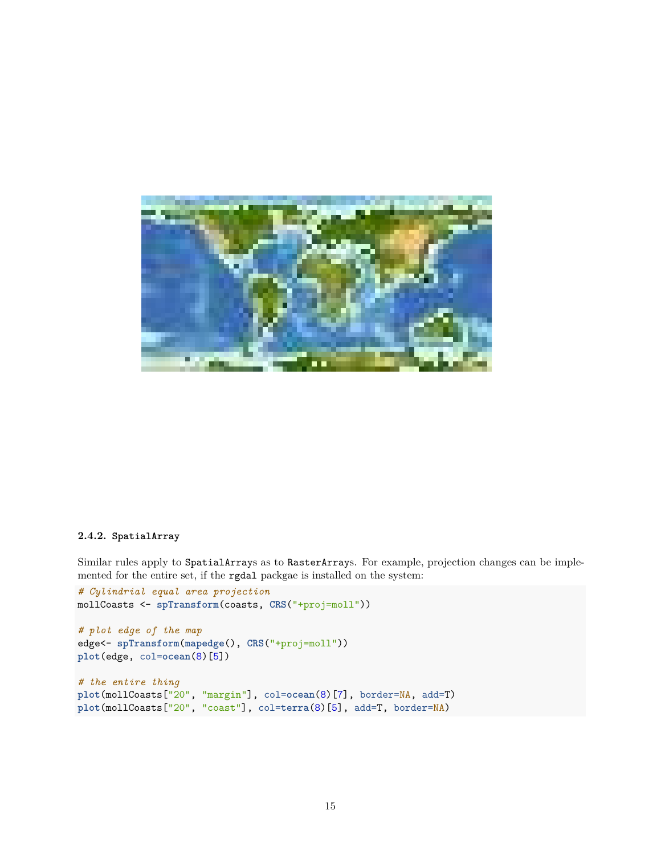

#### **2.4.2. SpatialArray**

Similar rules apply to SpatialArrays as to RasterArrays. For example, projection changes can be implemented for the entire set, if the rgdal packgae is installed on the system:

```
# Cylindrial equal area projection
mollCoasts <- spTransform(coasts, CRS("+proj=moll"))
# plot edge of the map
edge<- spTransform(mapedge(), CRS("+proj=moll"))
plot(edge, col=ocean(8)[5])
# the entire thing
plot(mollCoasts["20", "margin"], col=ocean(8)[7], border=NA, add=T)
plot(mollCoasts["20", "coast"], col=terra(8)[5], add=T, border=NA)
```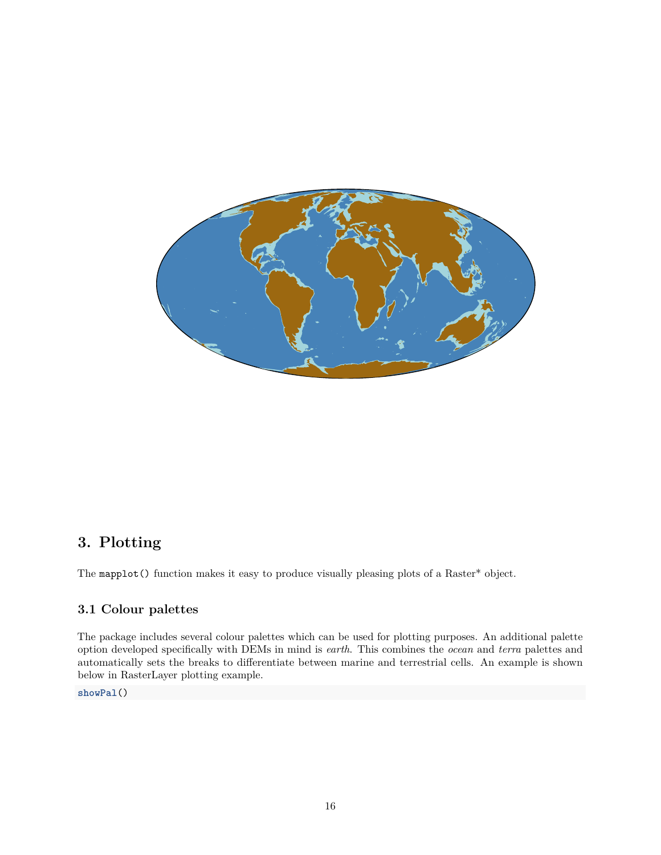

# **3. Plotting**

The mapplot() function makes it easy to produce visually pleasing plots of a Raster\* object.

# **3.1 Colour palettes**

The package includes several colour palettes which can be used for plotting purposes. An additional palette option developed specifically with DEMs in mind is *earth*. This combines the *ocean* and *terra* palettes and automatically sets the breaks to differentiate between marine and terrestrial cells. An example is shown below in [RasterLayer plotting example.](#page-16-0)

**showPal**()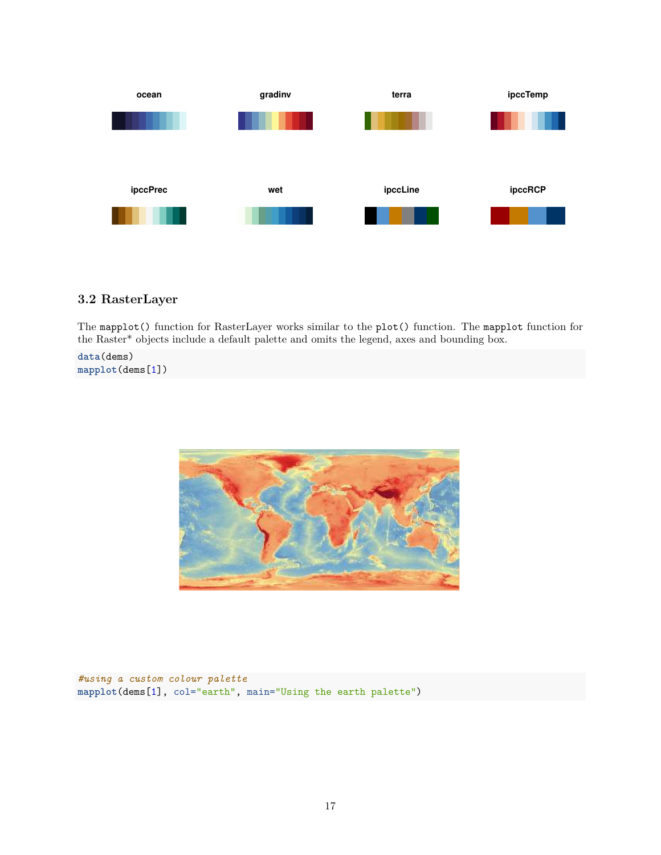

## <span id="page-16-0"></span>**3.2 RasterLayer**

The mapplot() function for RasterLayer works similar to the plot() function. The mapplot function for the Raster\* objects include a default palette and omits the legend, axes and bounding box.

**data**(dems) **mapplot**(dems[1])



*#using a custom colour palette* **mapplot**(dems[1], col="earth", main="Using the earth palette")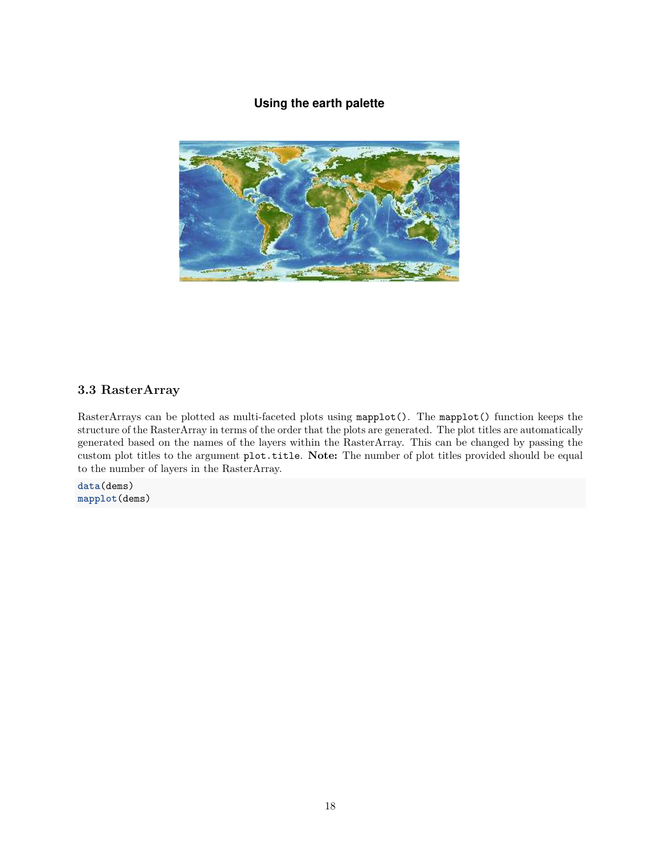# **Using the earth palette**



## **3.3 RasterArray**

RasterArrays can be plotted as multi-faceted plots using mapplot(). The mapplot() function keeps the structure of the RasterArray in terms of the order that the plots are generated. The plot titles are automatically generated based on the names of the layers within the RasterArray. This can be changed by passing the custom plot titles to the argument plot.title. **Note:** The number of plot titles provided should be equal to the number of layers in the RasterArray.

**data**(dems) **mapplot**(dems)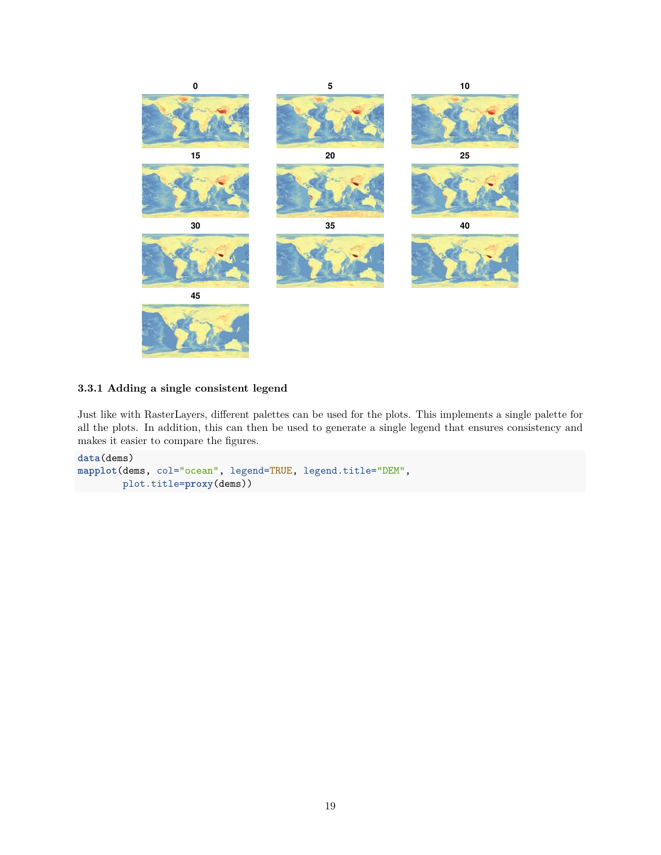

## **3.3.1 Adding a single consistent legend**

Just like with [RasterLayers,](#page-16-0) different palettes can be used for the plots. This implements a single palette for all the plots. In addition, this can then be used to generate a single legend that ensures consistency and makes it easier to compare the figures.

```
data(dems)
mapplot(dems, col="ocean", legend=TRUE, legend.title="DEM",
        plot.title=proxy(dems))
```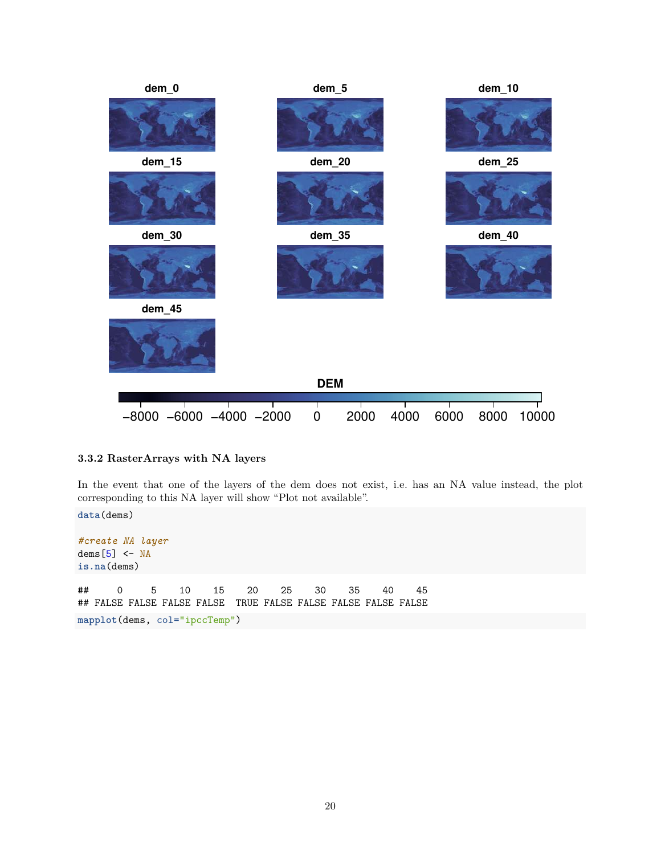

#### **3.3.2 RasterArrays with NA layers**

In the event that one of the layers of the dem does not exist, i.e. has an NA value instead, the plot corresponding to this NA layer will show "Plot not available".

**data**(dems) *#create NA layer* dems $[5]$  <- NA **is.na**(dems) ## 0 5 10 15 20 25 30 35 40 45 ## FALSE FALSE FALSE FALSE TRUE FALSE FALSE FALSE FALSE FALSE **mapplot**(dems, col="ipccTemp")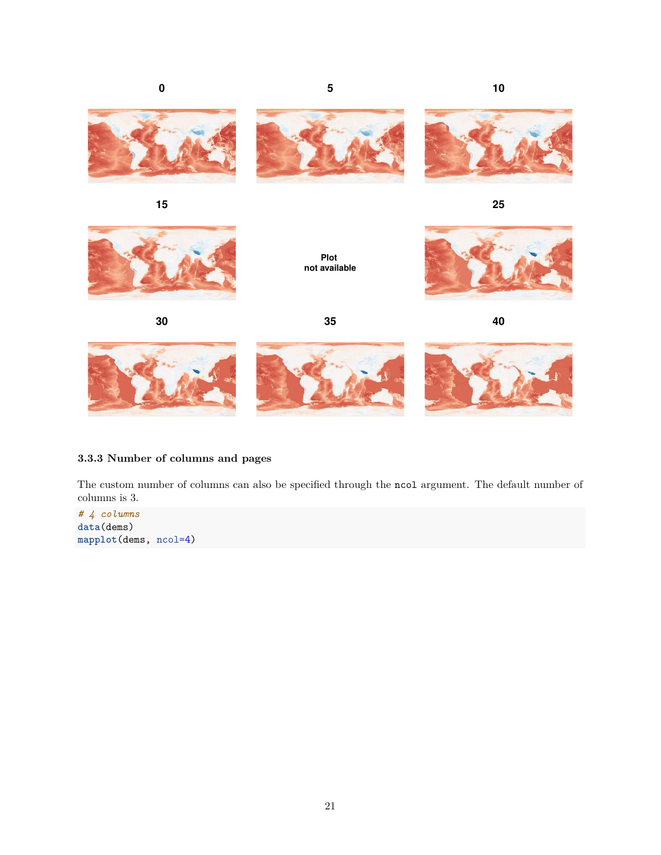



**15**

**25**



**Plot not available**



**30 35 40**



## **3.3.3 Number of columns and pages**

The custom number of columns can also be specified through the ncol argument. The default number of columns is 3.

*# 4 columns* **data**(dems) **mapplot**(dems, ncol=4)